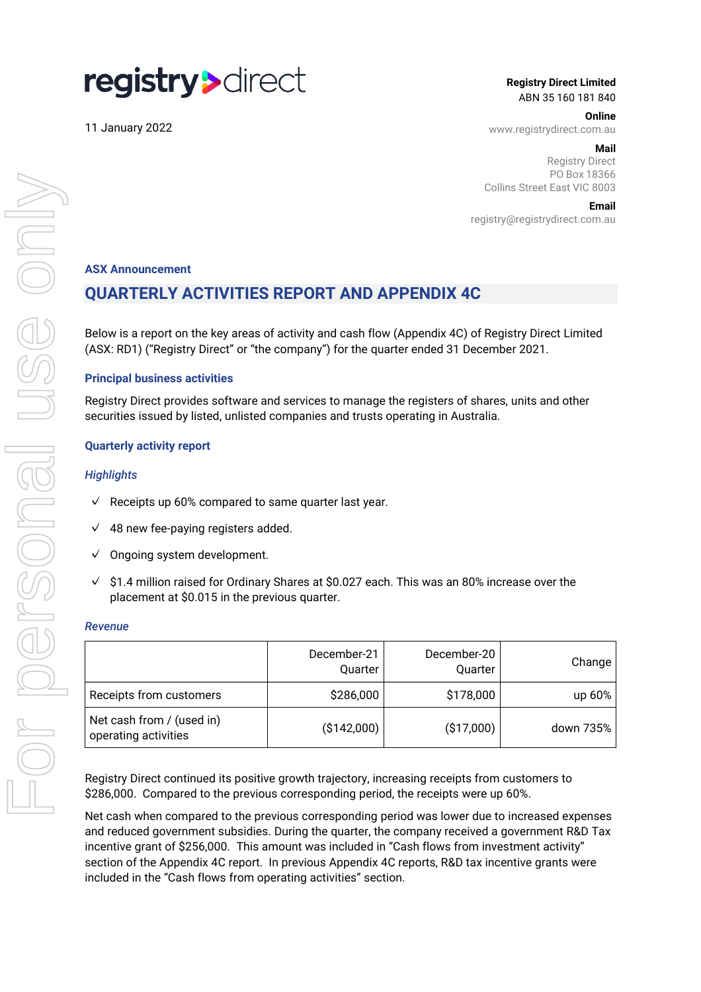# registry>direct

11 January 2022

**Registry Direct Limited** ABN 35 160 181 840

**Online**

www.registrydirect.com.au

#### **Mail**

Registry Direct PO Box 18366 Collins Street East VIC 8003

**Email**

registry@registrydirect.com.au

### **ASX Announcement**

# **QUARTERLY ACTIVITIES REPORT AND APPENDIX 4C**

Below is a report on the key areas of activity and cash flow (Appendix 4C) of Registry Direct Limited (ASX: RD1) ("Registry Direct" or "the company") for the quarter ended 31 December 2021.

#### **Principal business activities**

Registry Direct provides software and services to manage the registers of shares, units and other securities issued by listed, unlisted companies and trusts operating in Australia.

#### **Quarterly activity report**

#### *Highlights*

- $\sqrt{ }$  Receipts up 60% compared to same quarter last year.
- $\sqrt{48}$  new fee-paying registers added.
- $\vee$  Ongoing system development.
- $\sqrt{ }$ \$1.4 million raised for Ordinary Shares at \$0.027 each. This was an 80% increase over the placement at \$0.015 in the previous quarter.

#### *Revenue*

|                                                   | December-21<br>Quarter | December-20<br>Quarter | Change    |
|---------------------------------------------------|------------------------|------------------------|-----------|
| Receipts from customers                           | \$286,000              | \$178,000              | up $60\%$ |
| Net cash from / (used in)<br>operating activities | (\$142,000)            | ( \$17,000)            | down 735% |

Registry Direct continued its positive growth trajectory, increasing receipts from customers to \$286,000. Compared to the previous corresponding period, the receipts were up 60%.

Net cash when compared to the previous corresponding period was lower due to increased expenses and reduced government subsidies. During the quarter, the company received a government R&D Tax incentive grant of \$256,000. This amount was included in "Cash flows from investment activity" section of the Appendix 4C report. In previous Appendix 4C reports, R&D tax incentive grants were included in the "Cash flows from operating activities" section.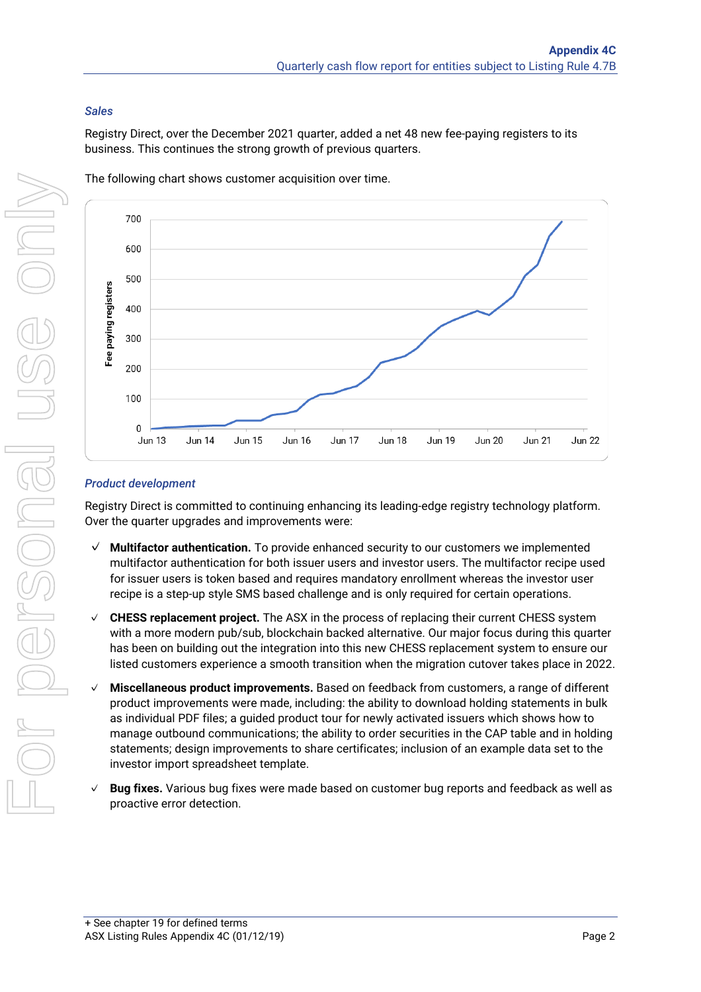# *Sales*

Registry Direct, over the December 2021 quarter, added a net 48 new fee-paying registers to its business. This continues the strong growth of previous quarters.



The following chart shows customer acquisition over time.

## *Product development*

Registry Direct is committed to continuing enhancing its leading-edge registry technology platform. Over the quarter upgrades and improvements were:

- ✓ **Multifactor authentication.** To provide enhanced security to our customers we implemented multifactor authentication for both issuer users and investor users. The multifactor recipe used for issuer users is token based and requires mandatory enrollment whereas the investor user recipe is a step-up style SMS based challenge and is only required for certain operations.
- ✓ **CHESS replacement project.** The ASX in the process of replacing their current CHESS system with a more modern pub/sub, blockchain backed alternative. Our major focus during this quarter has been on building out the integration into this new CHESS replacement system to ensure our listed customers experience a smooth transition when the migration cutover takes place in 2022.
- ✓ **Miscellaneous product improvements.** Based on feedback from customers, a range of different product improvements were made, including: the ability to download holding statements in bulk as individual PDF files; a guided product tour for newly activated issuers which shows how to manage outbound communications; the ability to order securities in the CAP table and in holding statements; design improvements to share certificates; inclusion of an example data set to the investor import spreadsheet template.
- ✓ **Bug fixes.** Various bug fixes were made based on customer bug reports and feedback as well as proactive error detection.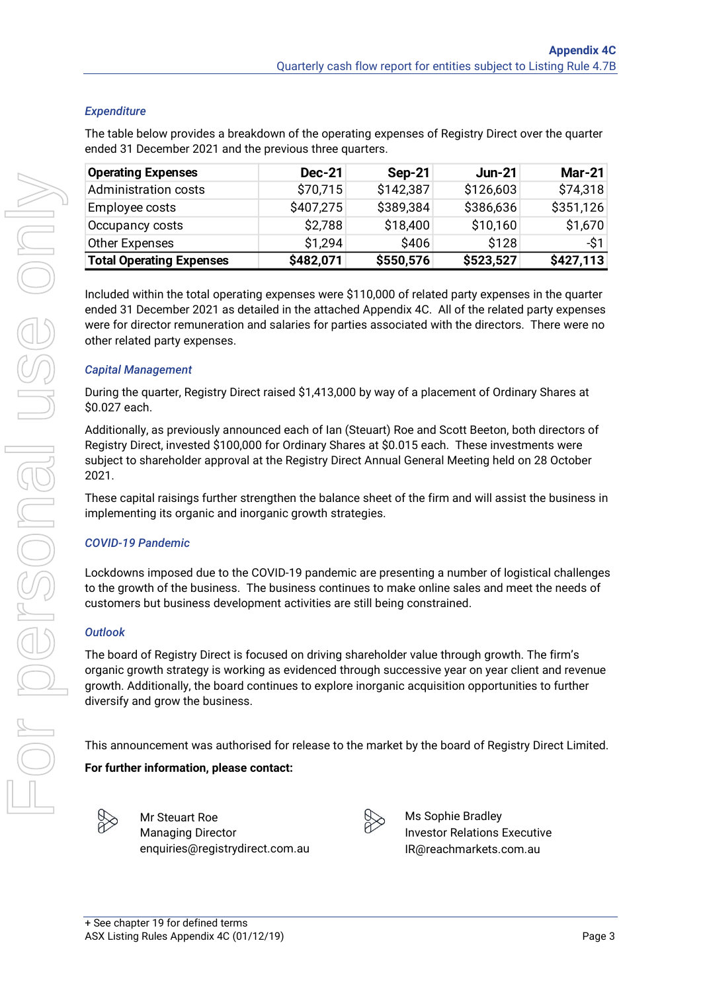## *Expenditure*

The table below provides a breakdown of the operating expenses of Registry Direct over the quarter ended 31 December 2021 and the previous three quarters.

| <b>Operating Expenses</b>                                                                                                                                                                                                                                                                                                                          | <b>Dec-21</b> | <b>Sep-21</b> | <b>Jun-21</b> | <b>Mar-21</b> |
|----------------------------------------------------------------------------------------------------------------------------------------------------------------------------------------------------------------------------------------------------------------------------------------------------------------------------------------------------|---------------|---------------|---------------|---------------|
| <b>Administration costs</b>                                                                                                                                                                                                                                                                                                                        | \$70,715      | \$142,387     | \$126,603     | \$74,318      |
| Employee costs                                                                                                                                                                                                                                                                                                                                     | \$407,275     | \$389,384     | \$386,636     | \$351,126     |
| Occupancy costs                                                                                                                                                                                                                                                                                                                                    | \$2,788       | \$18,400      | \$10,160      | \$1,670       |
| <b>Other Expenses</b>                                                                                                                                                                                                                                                                                                                              | \$1,294       | \$406         | \$128         | -\$1          |
| <b>Total Operating Expenses</b>                                                                                                                                                                                                                                                                                                                    | \$482,071     | \$550,576     | \$523,527     | \$427,113     |
| Included within the total operating expenses were \$110,000 of related party expenses in the quarter<br>ended 31 December 2021 as detailed in the attached Appendix 4C. All of the related party expenses<br>were for director remuneration and salaries for parties associated with the directors. There were no<br>other related party expenses. |               |               |               |               |
| <b>Capital Management</b>                                                                                                                                                                                                                                                                                                                          |               |               |               |               |
| During the quarter, Registry Direct raised \$1,413,000 by way of a placement of Ordinary Shares at<br>\$0.027 each.                                                                                                                                                                                                                                |               |               |               |               |
| Additionally, as previously announced each of Ian (Steuart) Roe and Scott Beeton, both directors of<br>Registry Direct, invested \$100,000 for Ordinary Shares at \$0.015 each. These investments were<br>subject to shareholder approval at the Registry Direct Annual General Meeting held on 28 October<br>2021.                                |               |               |               |               |
| These capital raisings further strengthen the balance sheet of the firm and will assist the business in<br>implementing its organic and inorganic growth strategies.                                                                                                                                                                               |               |               |               |               |
| <b>COVID-19 Pandemic</b>                                                                                                                                                                                                                                                                                                                           |               |               |               |               |
| Lockdowns imposed due to the COVID-19 pandemic are presenting a number of logistical challenges<br>to the growth of the business. The business continues to make online sales and meet the needs of<br>customers but business development activities are still being constrained.                                                                  |               |               |               |               |
| <b>Outlook</b>                                                                                                                                                                                                                                                                                                                                     |               |               |               |               |
| The board of Registry Direct is focused on driving shareholder value through growth. The firm's<br>organic growth strategy is working as evidenced through successive year on year client and revenue<br>growth. Additionally, the board continues to explore inorganic acquisition opportunities to further<br>diversify and grow the business.   |               |               |               |               |
| This announcement was authorised for release to the market by the board of Registry Direct Limited.                                                                                                                                                                                                                                                |               |               |               |               |
| For further information, please contact:                                                                                                                                                                                                                                                                                                           |               |               |               |               |
|                                                                                                                                                                                                                                                                                                                                                    |               |               |               |               |

## *Capital Management*

## *COVID-19 Pandemic*

## *Outlook*

## **For further information, please contact:**



Mr Steuart Roe Managing Director enquiries@registrydirect.com.au



Ms Sophie Bradley Investor Relations Executive IR@reachmarkets.com.au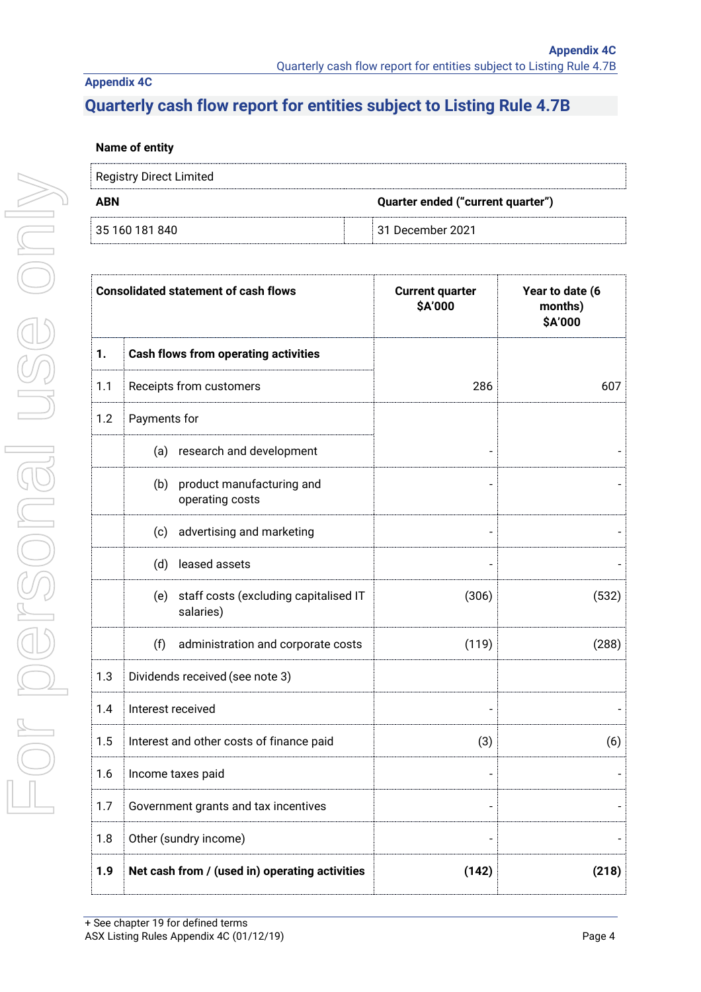## **Appendix 4C**

# **Quarterly cash flow report for entities subject to Listing Rule 4.7B**

## **Name of entity**

| Registry Direct Limited |                                   |
|-------------------------|-----------------------------------|
| <b>ABN</b>              | Quarter ended ("current quarter") |
| 35 160 181 840          | $\mid$ 31 December 2021           |

|     | <b>Consolidated statement of cash flows</b>               | <b>Current quarter</b><br>\$A'000 | Year to date (6<br>months)<br>\$A'000 |
|-----|-----------------------------------------------------------|-----------------------------------|---------------------------------------|
| 1.  | <b>Cash flows from operating activities</b>               |                                   |                                       |
| 1.1 | Receipts from customers                                   | 286                               | 607                                   |
| 1.2 | Payments for                                              |                                   |                                       |
|     | (a) research and development                              |                                   |                                       |
|     | product manufacturing and<br>(b)<br>operating costs       |                                   |                                       |
|     | advertising and marketing<br>(c)                          |                                   |                                       |
|     | leased assets<br>(d)                                      |                                   |                                       |
|     | staff costs (excluding capitalised IT<br>(e)<br>salaries) | (306)                             | (532)                                 |
|     | (f)<br>administration and corporate costs                 | (119)                             | (288)                                 |
| 1.3 | Dividends received (see note 3)                           |                                   |                                       |
| 1.4 | Interest received                                         |                                   |                                       |
| 1.5 | Interest and other costs of finance paid                  | (3)                               | (6)                                   |
| 1.6 | Income taxes paid                                         |                                   |                                       |
| 1.7 | Government grants and tax incentives                      |                                   |                                       |
| 1.8 | Other (sundry income)                                     |                                   |                                       |
| 1.9 | Net cash from / (used in) operating activities            | (142)                             | (218)                                 |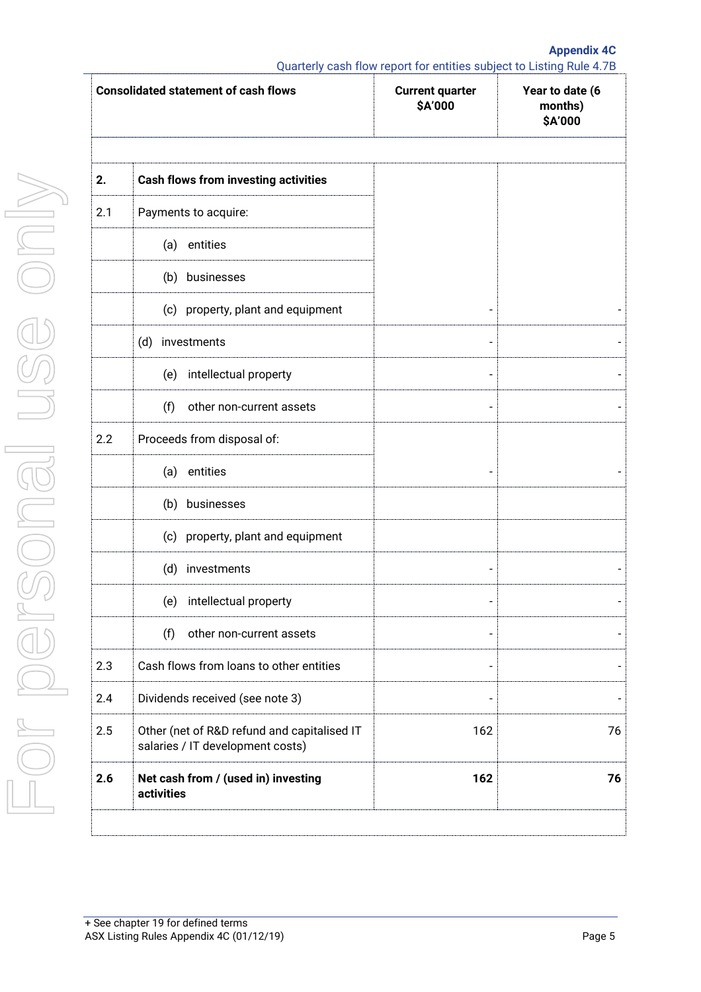**Appendix 4C**

Quarterly cash flow report for entities subject to Listing Rule 4.7B

|     | <b>Consolidated statement of cash flows</b>                                     | <b>Current quarter</b><br>\$A'000 | Year to date (6<br>months)<br>\$A'000 |
|-----|---------------------------------------------------------------------------------|-----------------------------------|---------------------------------------|
| 2.  | <b>Cash flows from investing activities</b>                                     |                                   |                                       |
| 2.1 | Payments to acquire:                                                            |                                   |                                       |
|     | entities<br>(a)                                                                 |                                   |                                       |
|     | (b) businesses                                                                  |                                   |                                       |
|     | (c) property, plant and equipment                                               |                                   |                                       |
|     | (d) investments                                                                 |                                   |                                       |
|     | intellectual property<br>(e)                                                    |                                   |                                       |
|     | (f)<br>other non-current assets                                                 |                                   |                                       |
| 2.2 | Proceeds from disposal of:                                                      |                                   |                                       |
|     | entities<br>(a)                                                                 |                                   |                                       |
|     | (b)<br>businesses                                                               |                                   |                                       |
|     | (c) property, plant and equipment                                               |                                   |                                       |
|     | (d) investments                                                                 |                                   |                                       |
|     | (e) intellectual property                                                       |                                   |                                       |
|     | (f)<br>other non-current assets                                                 |                                   |                                       |
| 2.3 | Cash flows from loans to other entities                                         |                                   |                                       |
| 2.4 | Dividends received (see note 3)                                                 | $\overline{a}$                    |                                       |
| 2.5 | Other (net of R&D refund and capitalised IT<br>salaries / IT development costs) | 162                               | 76                                    |
| 2.6 | Net cash from / (used in) investing<br>activities                               | 162                               | 76                                    |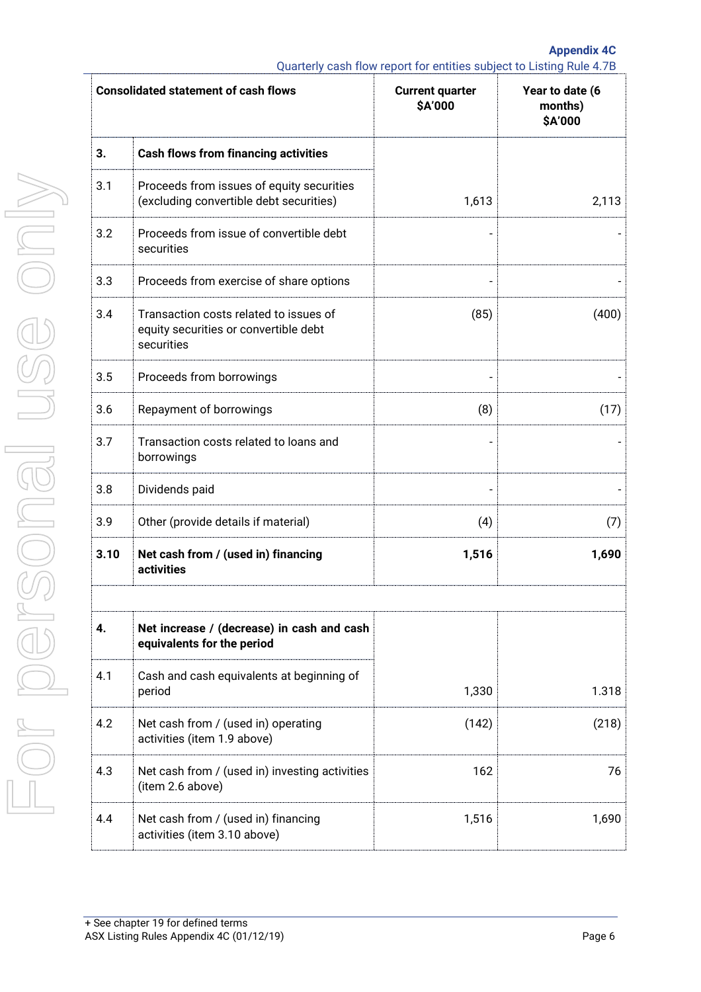**Appendix 4C** Quarterly cash flow report for entities subject to Listing Rule 4.7B

|      | <b>Consolidated statement of cash flows</b>                                                   | <b>Current quarter</b><br>\$A'000 | Year to date (6<br>months)<br>\$A'000 |
|------|-----------------------------------------------------------------------------------------------|-----------------------------------|---------------------------------------|
| 3.   | <b>Cash flows from financing activities</b>                                                   |                                   |                                       |
| 3.1  | Proceeds from issues of equity securities<br>(excluding convertible debt securities)          | 1,613                             | 2,113                                 |
| 3.2  | Proceeds from issue of convertible debt<br>securities                                         |                                   |                                       |
| 3.3  | Proceeds from exercise of share options                                                       |                                   |                                       |
| 3.4  | Transaction costs related to issues of<br>equity securities or convertible debt<br>securities | (85)                              | (400)                                 |
| 3.5  | Proceeds from borrowings                                                                      |                                   |                                       |
| 3.6  | Repayment of borrowings                                                                       | (8)                               | (17)                                  |
| 3.7  | Transaction costs related to loans and<br>borrowings                                          |                                   |                                       |
| 3.8  | Dividends paid                                                                                |                                   |                                       |
| 3.9  | Other (provide details if material)                                                           | (4)                               | (7)                                   |
| 3.10 | Net cash from / (used in) financing<br>activities                                             | 1,516                             | 1,690                                 |
|      |                                                                                               |                                   |                                       |
| 4.   | Net increase / (decrease) in cash and cash<br>equivalents for the period                      |                                   |                                       |
| 4.1  | Cash and cash equivalents at beginning of<br>period                                           | 1,330                             | 1.318                                 |
| 4.2  | Net cash from / (used in) operating<br>activities (item 1.9 above)                            | (142)                             | (218)                                 |
| 4.3  | Net cash from / (used in) investing activities<br>(item 2.6 above)                            | 162                               | 76                                    |
| 4.4  | Net cash from / (used in) financing<br>activities (item 3.10 above)                           | 1,516                             | 1,690                                 |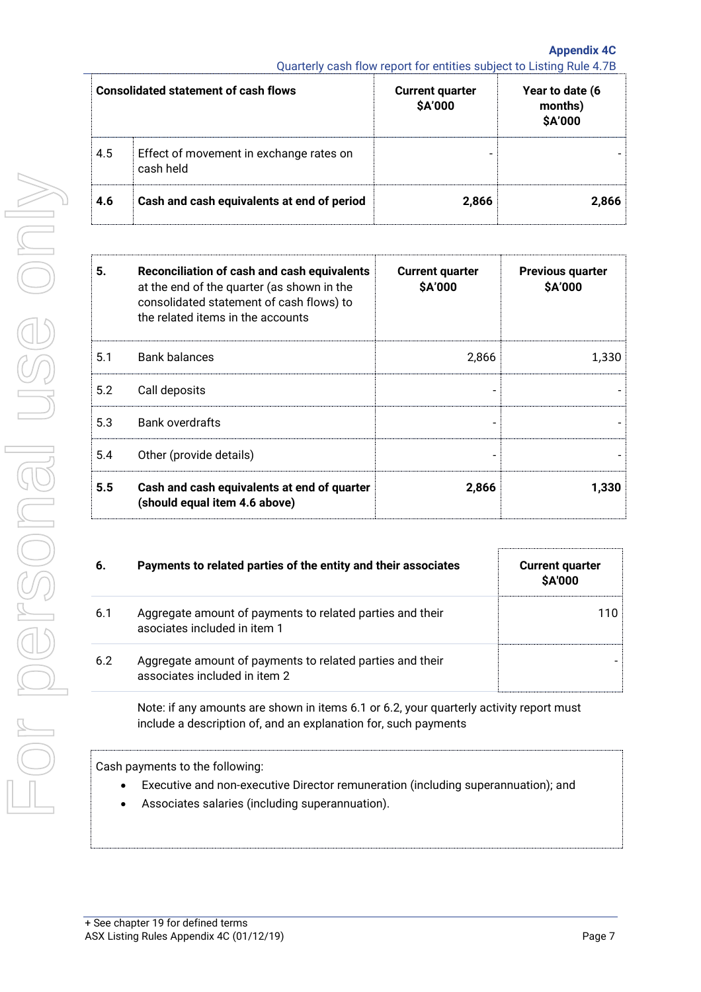**Appendix 4C** Quarterly cash flow report for entities subject to Listing Rule 4.7B

|     | <b>Consolidated statement of cash flows</b>          | <b>Current quarter</b><br><b>\$A'000</b> | Year to date (6<br>months)<br>\$A'000 |
|-----|------------------------------------------------------|------------------------------------------|---------------------------------------|
| 4.5 | Effect of movement in exchange rates on<br>cash held | -                                        |                                       |
| 4.6 | Cash and cash equivalents at end of period           | 2,866                                    | 2.866                                 |

| 5.  | Reconciliation of cash and cash equivalents<br>at the end of the quarter (as shown in the<br>consolidated statement of cash flows) to<br>the related items in the accounts | <b>Current quarter</b><br>\$A'000 | <b>Previous quarter</b><br>\$A'000 |
|-----|----------------------------------------------------------------------------------------------------------------------------------------------------------------------------|-----------------------------------|------------------------------------|
| 5.1 | <b>Bank balances</b>                                                                                                                                                       | 2,866                             | 1,330                              |
| 5.2 | Call deposits                                                                                                                                                              |                                   |                                    |
| 5.3 | <b>Bank overdrafts</b>                                                                                                                                                     |                                   |                                    |
| 5.4 | Other (provide details)                                                                                                                                                    |                                   |                                    |
| 5.5 | Cash and cash equivalents at end of quarter<br>(should equal item 4.6 above)                                                                                               | 2,866                             | 1,330                              |

| 6.  | Payments to related parties of the entity and their associates                             | <b>Current quarter</b><br><b>SA'000</b> |
|-----|--------------------------------------------------------------------------------------------|-----------------------------------------|
| 6.1 | Aggregate amount of payments to related parties and their<br>asociates included in item 1  | 110                                     |
| 6.2 | Aggregate amount of payments to related parties and their<br>associates included in item 2 |                                         |

Note: if any amounts are shown in items 6.1 or 6.2, your quarterly activity report must include a description of, and an explanation for, such payments

Cash payments to the following:

- Executive and non-executive Director remuneration (including superannuation); and
- Associates salaries (including superannuation).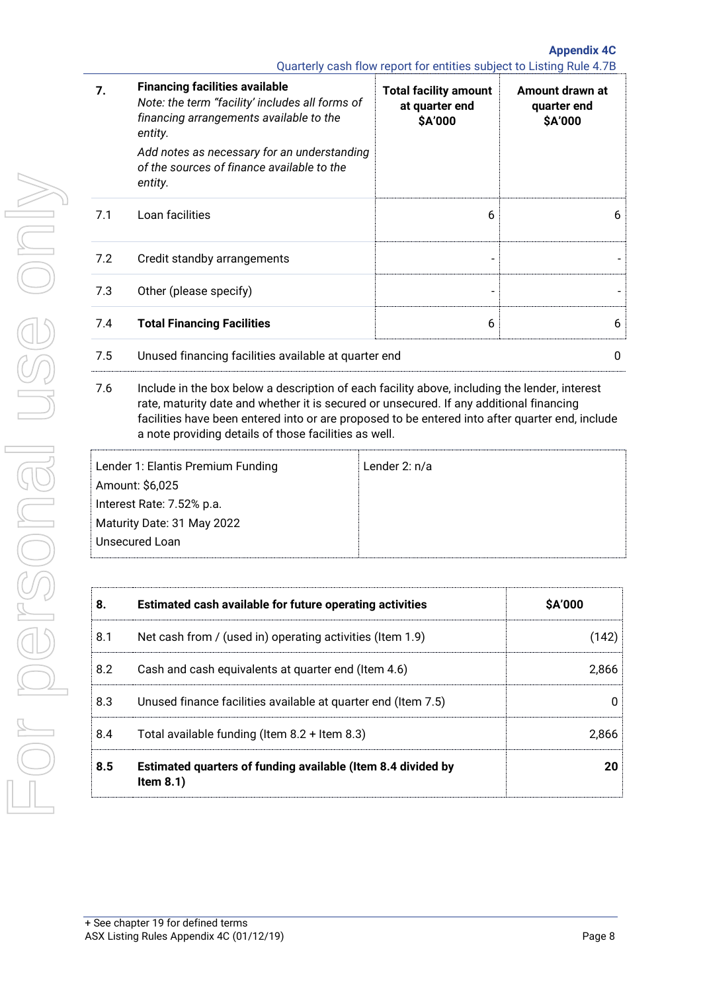**Appendix 4C** Quarterly cash flow report for entities subject to Listing Rule 4.7B

| 7.  | <b>Financing facilities available</b><br>Note: the term "facility' includes all forms of<br>financing arrangements available to the<br>entity.<br>Add notes as necessary for an understanding<br>of the sources of finance available to the<br>entity. | <b>Total facility amount</b><br>at quarter end<br>\$A'000 | Amount drawn at<br>quarter end<br>\$A'000 |
|-----|--------------------------------------------------------------------------------------------------------------------------------------------------------------------------------------------------------------------------------------------------------|-----------------------------------------------------------|-------------------------------------------|
| 7.1 | Loan facilities                                                                                                                                                                                                                                        | 6                                                         | 6                                         |
| 7.2 | Credit standby arrangements                                                                                                                                                                                                                            |                                                           |                                           |
| 7.3 | Other (please specify)                                                                                                                                                                                                                                 |                                                           |                                           |
| 7.4 | <b>Total Financing Facilities</b>                                                                                                                                                                                                                      | 6                                                         | 6                                         |
| 7.5 | Unused financing facilities available at quarter end                                                                                                                                                                                                   |                                                           | 0                                         |

7.6 Include in the box below a description of each facility above, including the lender, interest rate, maturity date and whether it is secured or unsecured. If any additional financing facilities have been entered into or are proposed to be entered into after quarter end, include a note providing details of those facilities as well.

| Lender 1: Elantis Premium Funding | Lender 2: $n/a$ |
|-----------------------------------|-----------------|
| Amount: \$6,025                   |                 |
| Interest Rate: 7.52% p.a.         |                 |
| Maturity Date: 31 May 2022        |                 |
| Unsecured Loan                    |                 |

| 8.  | Estimated cash available for future operating activities                     | <b>\$A'000</b> |
|-----|------------------------------------------------------------------------------|----------------|
| 8.1 | Net cash from / (used in) operating activities (Item 1.9)                    | (142)          |
| 8.2 | Cash and cash equivalents at quarter end (Item 4.6)                          | 2.866          |
| 8.3 | Unused finance facilities available at quarter end (Item 7.5)                |                |
| 8.4 | Total available funding (Item $8.2 +$ Item $8.3$ )                           | 2.866          |
| 8.5 | Estimated quarters of funding available (Item 8.4 divided by<br>Item $8.1$ ) | 20             |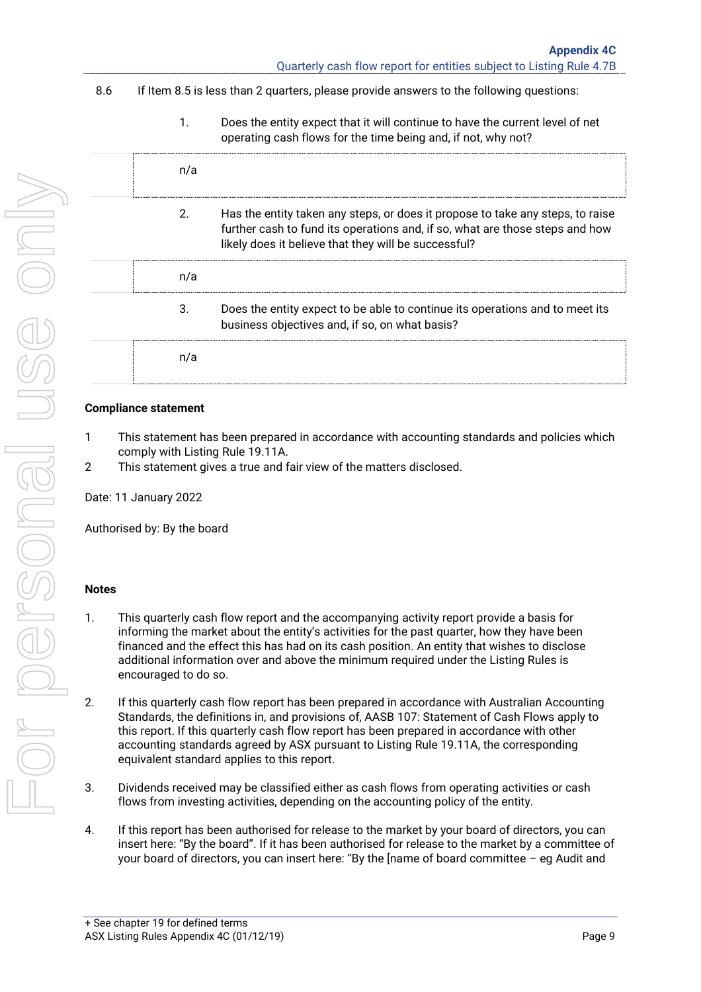# 8.6 If Item 8.5 is less than 2 quarters, please provide answers to the following questions:

1. Does the entity expect that it will continue to have the current level of net operating cash flows for the time being and, if not, why not?

| 2.  | Has the entity taken any steps, or does it propose to take any steps, to raise<br>further cash to fund its operations and, if so, what are those steps and how<br>likely does it believe that they will be successful? |
|-----|------------------------------------------------------------------------------------------------------------------------------------------------------------------------------------------------------------------------|
| n/a |                                                                                                                                                                                                                        |
| 3.  | Does the entity expect to be able to continue its operations and to meet its<br>business objectives and, if so, on what basis?                                                                                         |
|     |                                                                                                                                                                                                                        |

## **Compliance statement**

- 1 This statement has been prepared in accordance with accounting standards and policies which comply with Listing Rule 19.11A.
- 2 This statement gives a true and fair view of the matters disclosed.

Date: 11 January 2022

Authorised by: By the board

## **Notes**

- 1. This quarterly cash flow report and the accompanying activity report provide a basis for informing the market about the entity's activities for the past quarter, how they have been financed and the effect this has had on its cash position. An entity that wishes to disclose additional information over and above the minimum required under the Listing Rules is encouraged to do so.
- 2. If this quarterly cash flow report has been prepared in accordance with Australian Accounting Standards, the definitions in, and provisions of, AASB 107: Statement of Cash Flows apply to this report. If this quarterly cash flow report has been prepared in accordance with other accounting standards agreed by ASX pursuant to Listing Rule 19.11A, the corresponding equivalent standard applies to this report.
- 3. Dividends received may be classified either as cash flows from operating activities or cash flows from investing activities, depending on the accounting policy of the entity.
- 4. If this report has been authorised for release to the market by your board of directors, you can insert here: "By the board". If it has been authorised for release to the market by a committee of your board of directors, you can insert here: "By the [name of board committee – eg Audit and